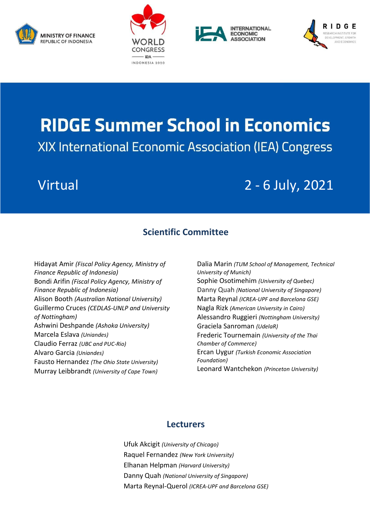







# **RIDGE Summer School in Economics** XIX International Economic Association (IEA) Congress

## Virtual 2 - 6 July, 2021

### **Scientific Committee**

Hidayat Amir *(Fiscal Policy Agency, Ministry of Finance Republic of Indonesia)* Bondi Arifin *(Fiscal Policy Agency, Ministry of Finance Republic of Indonesia)* Alison Booth *(Australian National University)* Guillermo Cruces *(CEDLAS-UNLP and University of Nottingham)* Ashwini Deshpande *(Ashoka University)* Marcela Eslava *(Uniandes)* Claudio Ferraz *(UBC and PUC-Rio)* Alvaro Garcia *(Uniandes)* Fausto Hernandez *[\(The Ohio State University\)](https://www.osu.edu/)* Murray Leibbrandt *[\(University of Cape Town\)](https://en.wikipedia.org/wiki/University_of_Cape_Town)*

Dalia Marin *(TUM School of Management, Technical University of Munich)* Sophie Osotimehim *(University of Quebec)* Danny Quah *(National University of Singapore)* Marta Reynal *(ICREA-UPF and Barcelona GSE)* Nagla Rizk *[\(American University in Cairo\)](http://www1.aucegypt.edu/faculty/naglarzk/)* Alessandro Ruggieri *(Nottingham University)* Graciela Sanroman *(UdelaR)* Frederic Tournemain *(University of the Thai Chamber of Commerce)* Ercan Uygur *(Turkish Economic Association Foundation)* Leonard Wantchekon *(Princeton University)*

#### **Lecturers**

Ufuk Akcigit *(University of Chicago)* Raquel Fernandez *(New York University)* Elhanan Helpman *(Harvard University)* Danny Quah *(National University of Singapore)* Marta Reynal-Querol *(ICREA-UPF and Barcelona GSE)*